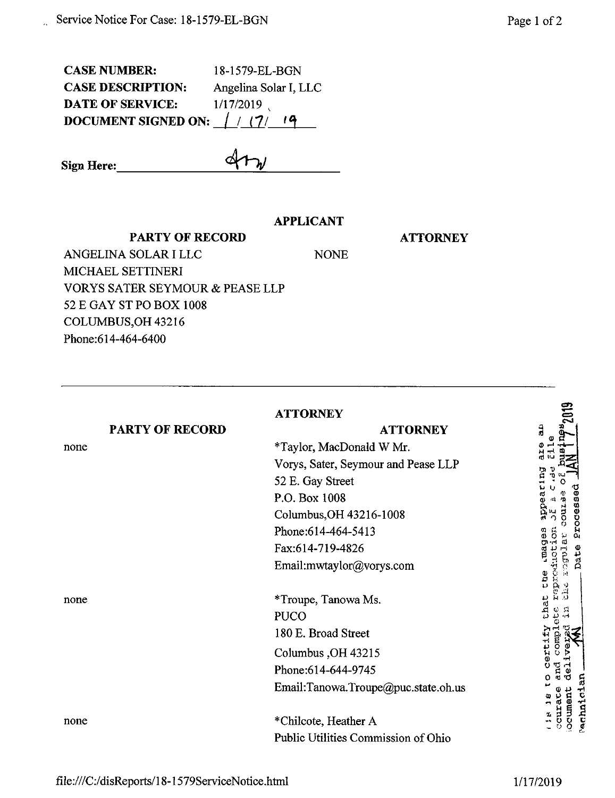CASE NUMBER: 18-1579-EL-BGN CASE DESCRIPTION: Angelina Solar I, LLC DATE OF SERVICE:  $1/17/2019$ <br>DOCUMENT SIGNED ON:  $/ / (7/ 19)$ **DOCUMENT SIGNED ON: / / (7/**

**Sign Here:** 

j.

## **APPLICANT**

**PARTY OF RECORD**

**ATTORNEY**

ANGELINA SOLAR I LLC NONE MICHAEL SETTINERI VORYS SATER SEYMOUR & PEASE LLP 52 E GAY ST PO BOX 1008 COLUMBUS,OH 43216 Phone:614-464-6400

| <b>PARTY OF RECORD</b><br>none<br>none | <b>ATTORNEY</b><br><b>ATTORNEY</b><br>*Taylor, MacDonald W Mr.<br>Vorys, Sater, Seymour and Pease LLP<br>52 E. Gay Street<br>P.O. Box 1008<br>Columbus, OH 43216-1008<br>Phone: 614-464-5413<br>Fax:614-719-4826<br>Email:mwtaylor@vorys.com<br>*Troupe, Tanowa Ms.<br><b>PUCO</b><br>180 E. Broad Street | ã<br>tч<br>נית<br>ב<br>009900<br>ಕೆ<br>o.<br>Dati<br>irou<br>ĥИ<br>ه<br>م<br>o<br>C<br>Ĥ<br>ر د<br>Ehat<br>G,<br>S.<br>ند |
|----------------------------------------|-----------------------------------------------------------------------------------------------------------------------------------------------------------------------------------------------------------------------------------------------------------------------------------------------------------|---------------------------------------------------------------------------------------------------------------------------|
|                                        | Columbus, OH 43215<br>Phone:614-644-9745<br>Email:Tanowa.Troupe@puc.state.oh.us                                                                                                                                                                                                                           | comp<br>ert<br>pő<br>ä<br><b>Pechnici</b>                                                                                 |
| none                                   | *Chilcote, Heather A<br>Public Utilities Commission of Ohio                                                                                                                                                                                                                                               | comunen<br><b>HOOP</b>                                                                                                    |

file:///C:/disReports/18-1579ServiceNotice.html 1/17/2019